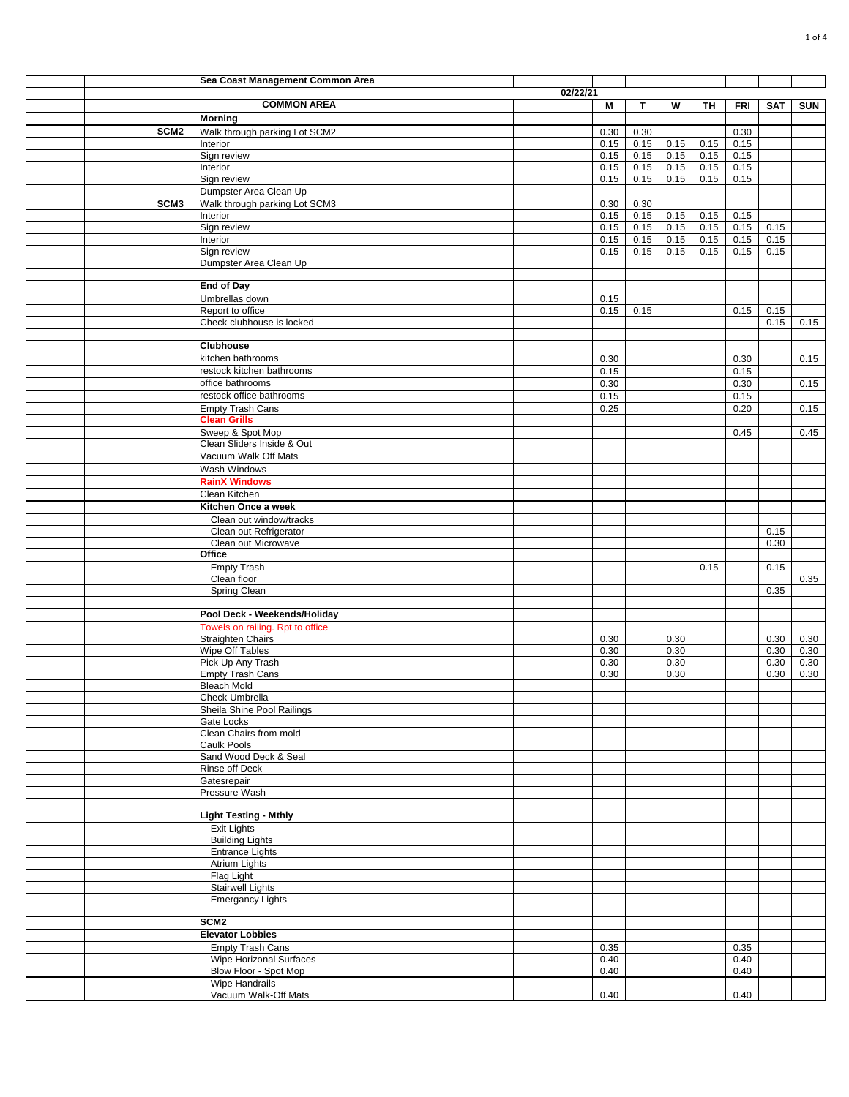|  |                  | Sea Coast Management Common Area             |          |              |              |      |      |            |              |            |
|--|------------------|----------------------------------------------|----------|--------------|--------------|------|------|------------|--------------|------------|
|  |                  |                                              | 02/22/21 |              |              |      |      |            |              |            |
|  |                  | <b>COMMON AREA</b>                           |          | М            | $\mathbf{T}$ | W    | TH   | <b>FRI</b> | SAT          | <b>SUN</b> |
|  |                  | <b>Morning</b>                               |          |              |              |      |      |            |              |            |
|  | SCM <sub>2</sub> | Walk through parking Lot SCM2                |          | 0.30         | 0.30         |      |      | 0.30       |              |            |
|  |                  | Interior                                     |          | 0.15         | 0.15         | 0.15 | 0.15 | 0.15       |              |            |
|  |                  | Sign review                                  |          | 0.15         | 0.15         | 0.15 | 0.15 | 0.15       |              |            |
|  |                  | Interior                                     |          | 0.15         | 0.15         | 0.15 | 0.15 | 0.15       |              |            |
|  |                  | Sign review                                  |          | 0.15         | 0.15         | 0.15 | 0.15 | 0.15       |              |            |
|  |                  | Dumpster Area Clean Up                       |          |              |              |      |      |            |              |            |
|  | SCM <sub>3</sub> | Walk through parking Lot SCM3                |          | 0.30         | 0.30         |      |      |            |              |            |
|  |                  | Interior                                     |          | 0.15         | 0.15         | 0.15 | 0.15 | 0.15       |              |            |
|  |                  | Sign review                                  |          | 0.15         | 0.15         | 0.15 | 0.15 | 0.15       | 0.15         |            |
|  |                  | Interior                                     |          | 0.15         | 0.15         | 0.15 | 0.15 | 0.15       | 0.15         |            |
|  |                  | Sign review                                  |          | 0.15         | 0.15         | 0.15 | 0.15 | 0.15       | 0.15         |            |
|  |                  | Dumpster Area Clean Up                       |          |              |              |      |      |            |              |            |
|  |                  |                                              |          |              |              |      |      |            |              |            |
|  |                  | <b>End of Day</b><br>Umbrellas down          |          |              |              |      |      |            |              |            |
|  |                  | Report to office                             |          | 0.15<br>0.15 | 0.15         |      |      |            |              |            |
|  |                  | Check clubhouse is locked                    |          |              |              |      |      | 0.15       | 0.15<br>0.15 | 0.15       |
|  |                  |                                              |          |              |              |      |      |            |              |            |
|  |                  | <b>Clubhouse</b>                             |          |              |              |      |      |            |              |            |
|  |                  | kitchen bathrooms                            |          | 0.30         |              |      |      | 0.30       |              | 0.15       |
|  |                  | restock kitchen bathrooms                    |          | 0.15         |              |      |      | 0.15       |              |            |
|  |                  | office bathrooms                             |          | 0.30         |              |      |      | 0.30       |              | 0.15       |
|  |                  | restock office bathrooms                     |          | 0.15         |              |      |      | 0.15       |              |            |
|  |                  | <b>Empty Trash Cans</b>                      |          | 0.25         |              |      |      | 0.20       |              | 0.15       |
|  |                  | <b>Clean Grills</b>                          |          |              |              |      |      |            |              |            |
|  |                  | Sweep & Spot Mop                             |          |              |              |      |      | 0.45       |              | 0.45       |
|  |                  | Clean Sliders Inside & Out                   |          |              |              |      |      |            |              |            |
|  |                  | Vacuum Walk Off Mats                         |          |              |              |      |      |            |              |            |
|  |                  | Wash Windows                                 |          |              |              |      |      |            |              |            |
|  |                  | <b>RainX Windows</b>                         |          |              |              |      |      |            |              |            |
|  |                  | Clean Kitchen                                |          |              |              |      |      |            |              |            |
|  |                  | Kitchen Once a week                          |          |              |              |      |      |            |              |            |
|  |                  | Clean out window/tracks                      |          |              |              |      |      |            |              |            |
|  |                  | Clean out Refrigerator                       |          |              |              |      |      |            | 0.15         |            |
|  |                  | Clean out Microwave                          |          |              |              |      |      |            | 0.30         |            |
|  |                  | Office                                       |          |              |              |      |      |            |              |            |
|  |                  | <b>Empty Trash</b>                           |          |              |              |      | 0.15 |            | 0.15         |            |
|  |                  | Clean floor                                  |          |              |              |      |      |            |              | 0.35       |
|  |                  | Spring Clean                                 |          |              |              |      |      |            | 0.35         |            |
|  |                  |                                              |          |              |              |      |      |            |              |            |
|  |                  | Pool Deck - Weekends/Holiday                 |          |              |              |      |      |            |              |            |
|  |                  | Towels on railing. Rpt to office             |          |              |              |      |      |            |              |            |
|  |                  | Straighten Chairs                            |          | 0.30         |              | 0.30 |      |            | 0.30         | 0.30       |
|  |                  | Wipe Off Tables                              |          | 0.30         |              | 0.30 |      |            | 0.30         | 0.30       |
|  |                  | Pick Up Any Trash                            |          | 0.30         |              | 0.30 |      |            | 0.30         | 0.30       |
|  |                  | <b>Empty Trash Cans</b>                      |          | 0.30         |              | 0.30 |      |            | 0.30         | 0.30       |
|  |                  | <b>Bleach Mold</b>                           |          |              |              |      |      |            |              |            |
|  |                  | Check Umbrella<br>Sheila Shine Pool Railings |          |              |              |      |      |            |              |            |
|  |                  | Gate Locks                                   |          |              |              |      |      |            |              |            |
|  |                  | Clean Chairs from mold                       |          |              |              |      |      |            |              |            |
|  |                  | Caulk Pools                                  |          |              |              |      |      |            |              |            |
|  |                  | Sand Wood Deck & Seal                        |          |              |              |      |      |            |              |            |
|  |                  | Rinse off Deck                               |          |              |              |      |      |            |              |            |
|  |                  | Gatesrepair                                  |          |              |              |      |      |            |              |            |
|  |                  | Pressure Wash                                |          |              |              |      |      |            |              |            |
|  |                  |                                              |          |              |              |      |      |            |              |            |
|  |                  | <b>Light Testing - Mthly</b>                 |          |              |              |      |      |            |              |            |
|  |                  | Exit Lights                                  |          |              |              |      |      |            |              |            |
|  |                  | <b>Building Lights</b>                       |          |              |              |      |      |            |              |            |
|  |                  | <b>Entrance Lights</b>                       |          |              |              |      |      |            |              |            |
|  |                  | Atrium Lights                                |          |              |              |      |      |            |              |            |
|  |                  | Flag Light                                   |          |              |              |      |      |            |              |            |
|  |                  | <b>Stairwell Lights</b>                      |          |              |              |      |      |            |              |            |
|  |                  | <b>Emergancy Lights</b>                      |          |              |              |      |      |            |              |            |
|  |                  | SCM <sub>2</sub>                             |          |              |              |      |      |            |              |            |
|  |                  | <b>Elevator Lobbies</b>                      |          |              |              |      |      |            |              |            |
|  |                  | <b>Empty Trash Cans</b>                      |          | 0.35         |              |      |      | 0.35       |              |            |
|  |                  | <b>Wipe Horizonal Surfaces</b>               |          | 0.40         |              |      |      | 0.40       |              |            |
|  |                  | Blow Floor - Spot Mop                        |          | 0.40         |              |      |      | 0.40       |              |            |
|  |                  | Wipe Handrails                               |          |              |              |      |      |            |              |            |
|  |                  | Vacuum Walk-Off Mats                         |          | 0.40         |              |      |      | 0.40       |              |            |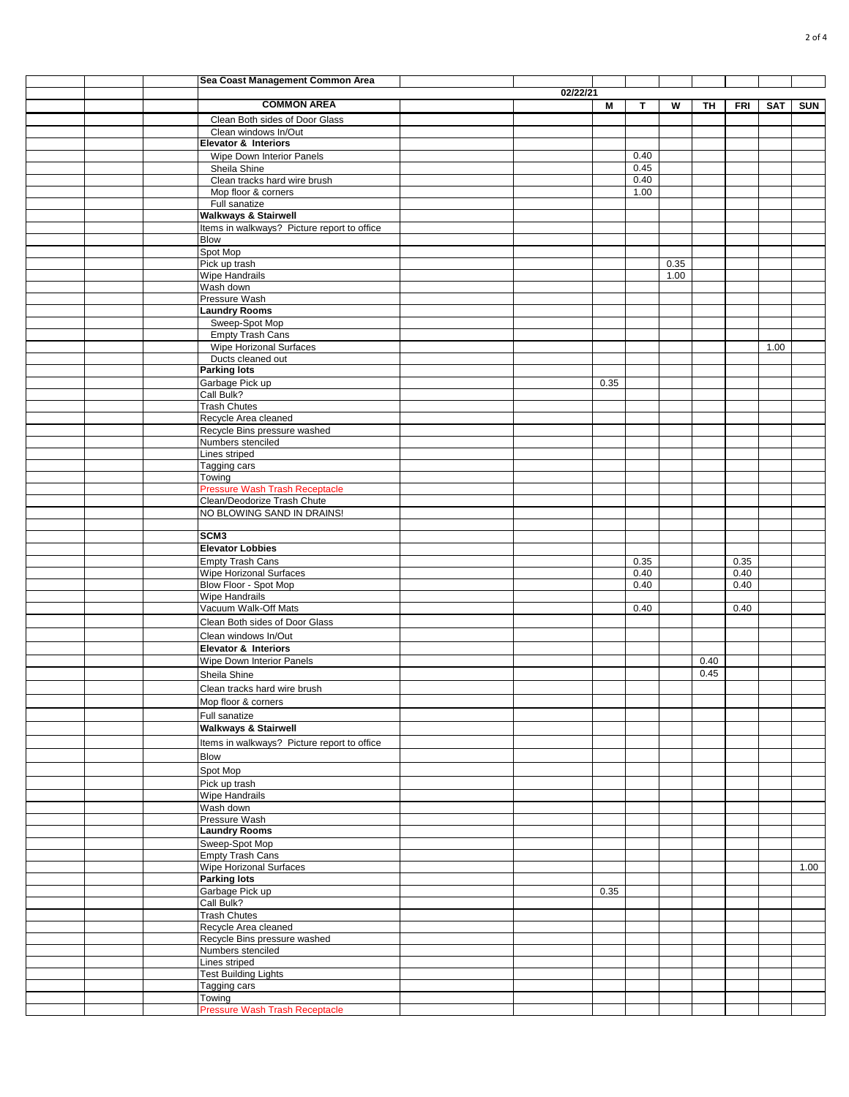|  | Sea Coast Management Common Area                          |          |      |              |      |              |            |            |            |
|--|-----------------------------------------------------------|----------|------|--------------|------|--------------|------------|------------|------------|
|  | <b>COMMON AREA</b>                                        | 02/22/21 | M    | T            | W    |              |            |            | <b>SUN</b> |
|  | Clean Both sides of Door Glass                            |          |      |              |      | TΗ           | <b>FRI</b> | <b>SAT</b> |            |
|  | Clean windows In/Out                                      |          |      |              |      |              |            |            |            |
|  | <b>Elevator &amp; Interiors</b>                           |          |      |              |      |              |            |            |            |
|  | Wipe Down Interior Panels                                 |          |      | 0.40         |      |              |            |            |            |
|  | Sheila Shine<br>Clean tracks hard wire brush              |          |      | 0.45<br>0.40 |      |              |            |            |            |
|  | Mop floor & corners                                       |          |      | 1.00         |      |              |            |            |            |
|  | Full sanatize                                             |          |      |              |      |              |            |            |            |
|  | <b>Walkways &amp; Stairwell</b>                           |          |      |              |      |              |            |            |            |
|  | Items in walkways? Picture report to office<br>Blow       |          |      |              |      |              |            |            |            |
|  | Spot Mop                                                  |          |      |              |      |              |            |            |            |
|  | Pick up trash                                             |          |      |              | 0.35 |              |            |            |            |
|  | <b>Wipe Handrails</b><br>Wash down                        |          |      |              | 1.00 |              |            |            |            |
|  | Pressure Wash                                             |          |      |              |      |              |            |            |            |
|  | <b>Laundry Rooms</b>                                      |          |      |              |      |              |            |            |            |
|  | Sweep-Spot Mop                                            |          |      |              |      |              |            |            |            |
|  | <b>Empty Trash Cans</b><br>Wipe Horizonal Surfaces        |          |      |              |      |              |            | 1.00       |            |
|  | Ducts cleaned out                                         |          |      |              |      |              |            |            |            |
|  | <b>Parking lots</b>                                       |          |      |              |      |              |            |            |            |
|  | Garbage Pick up                                           |          | 0.35 |              |      |              |            |            |            |
|  | Call Bulk?                                                |          |      |              |      |              |            |            |            |
|  | <b>Trash Chutes</b><br>Recycle Area cleaned               |          |      |              |      |              |            |            |            |
|  | Recycle Bins pressure washed                              |          |      |              |      |              |            |            |            |
|  | Numbers stenciled                                         |          |      |              |      |              |            |            |            |
|  | Lines striped                                             |          |      |              |      |              |            |            |            |
|  | Tagging cars<br>Towing                                    |          |      |              |      |              |            |            |            |
|  | <b>Pressure Wash Trash Receptacle</b>                     |          |      |              |      |              |            |            |            |
|  | Clean/Deodorize Trash Chute                               |          |      |              |      |              |            |            |            |
|  | NO BLOWING SAND IN DRAINS!                                |          |      |              |      |              |            |            |            |
|  | SCM3                                                      |          |      |              |      |              |            |            |            |
|  | <b>Elevator Lobbies</b>                                   |          |      |              |      |              |            |            |            |
|  | <b>Empty Trash Cans</b>                                   |          |      | 0.35         |      |              | 0.35       |            |            |
|  | <b>Wipe Horizonal Surfaces</b>                            |          |      | 0.40         |      |              | 0.40       |            |            |
|  | Blow Floor - Spot Mop<br><b>Wipe Handrails</b>            |          |      | 0.40         |      |              | 0.40       |            |            |
|  | Vacuum Walk-Off Mats                                      |          |      | 0.40         |      |              | 0.40       |            |            |
|  | Clean Both sides of Door Glass                            |          |      |              |      |              |            |            |            |
|  | Clean windows In/Out                                      |          |      |              |      |              |            |            |            |
|  | Elevator & Interiors                                      |          |      |              |      |              |            |            |            |
|  | Wipe Down Interior Panels                                 |          |      |              |      | 0.40<br>0.45 |            |            |            |
|  | Sheila Shine<br>Clean tracks hard wire brush              |          |      |              |      |              |            |            |            |
|  | Mop floor & corners                                       |          |      |              |      |              |            |            |            |
|  | Full sanatize                                             |          |      |              |      |              |            |            |            |
|  | <b>Walkways &amp; Stairwell</b>                           |          |      |              |      |              |            |            |            |
|  | Items in walkways? Picture report to office               |          |      |              |      |              |            |            |            |
|  | Blow                                                      |          |      |              |      |              |            |            |            |
|  | Spot Mop                                                  |          |      |              |      |              |            |            |            |
|  | Pick up trash                                             |          |      |              |      |              |            |            |            |
|  | Wipe Handrails<br>Wash down                               |          |      |              |      |              |            |            |            |
|  | Pressure Wash                                             |          |      |              |      |              |            |            |            |
|  | <b>Laundry Rooms</b>                                      |          |      |              |      |              |            |            |            |
|  | Sweep-Spot Mop                                            |          |      |              |      |              |            |            |            |
|  | <b>Empty Trash Cans</b><br><b>Wipe Horizonal Surfaces</b> |          |      |              |      |              |            |            | 1.00       |
|  | <b>Parking lots</b>                                       |          |      |              |      |              |            |            |            |
|  | Garbage Pick up                                           |          | 0.35 |              |      |              |            |            |            |
|  | Call Bulk?                                                |          |      |              |      |              |            |            |            |
|  | <b>Trash Chutes</b><br>Recycle Area cleaned               |          |      |              |      |              |            |            |            |
|  | Recycle Bins pressure washed                              |          |      |              |      |              |            |            |            |
|  | Numbers stenciled                                         |          |      |              |      |              |            |            |            |
|  | Lines striped                                             |          |      |              |      |              |            |            |            |
|  | <b>Test Building Lights</b><br>Tagging cars               |          |      |              |      |              |            |            |            |
|  | Towing                                                    |          |      |              |      |              |            |            |            |
|  | Pressure Wash Trash Receptacle                            |          |      |              |      |              |            |            |            |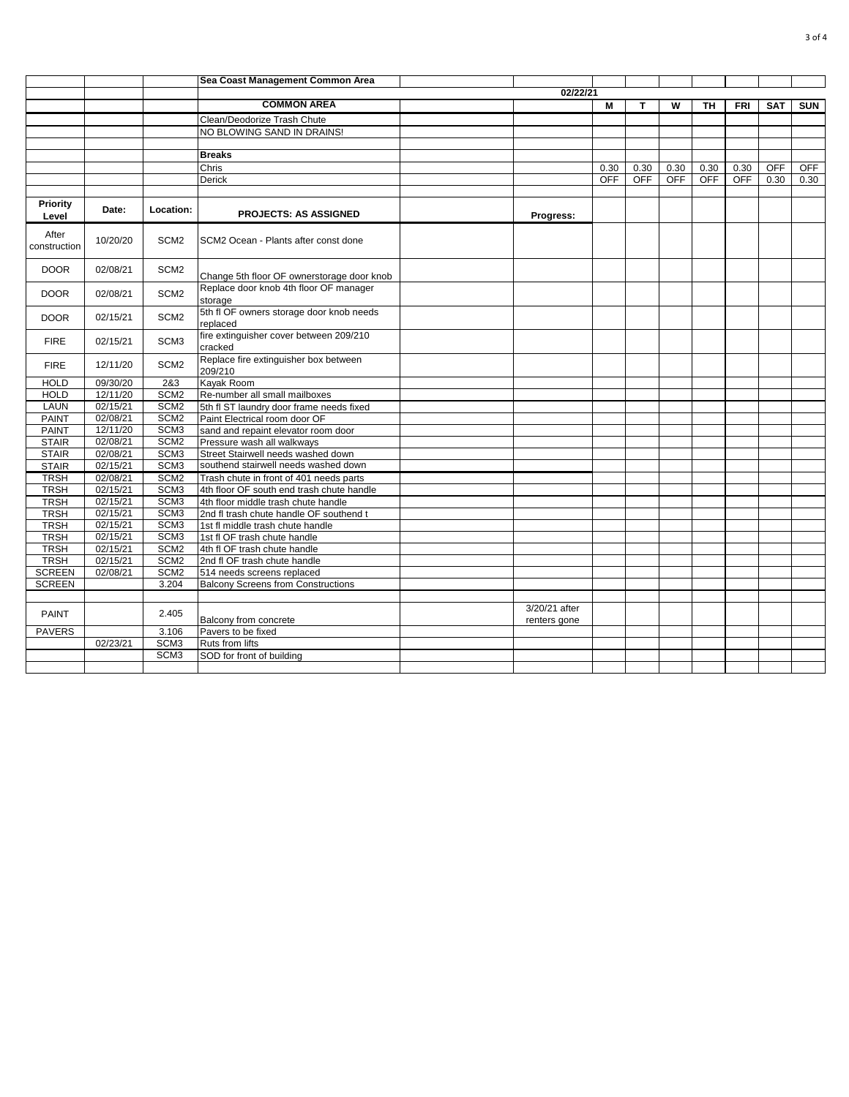|                          |          |                  | Sea Coast Management Common Area                     |  |                               |            |            |            |            |            |            |            |  |
|--------------------------|----------|------------------|------------------------------------------------------|--|-------------------------------|------------|------------|------------|------------|------------|------------|------------|--|
|                          |          |                  | 02/22/21                                             |  |                               |            |            |            |            |            |            |            |  |
|                          |          |                  | <b>COMMON AREA</b>                                   |  |                               | M          | т          | W          | TH         | <b>FRI</b> | <b>SAT</b> | <b>SUN</b> |  |
|                          |          |                  | Clean/Deodorize Trash Chute                          |  |                               |            |            |            |            |            |            |            |  |
|                          |          |                  | NO BLOWING SAND IN DRAINS!                           |  |                               |            |            |            |            |            |            |            |  |
|                          |          |                  |                                                      |  |                               |            |            |            |            |            |            |            |  |
|                          |          |                  | <b>Breaks</b>                                        |  |                               |            |            |            |            |            |            |            |  |
|                          |          |                  | Chris                                                |  |                               | 0.30       | 0.30       | 0.30       | 0.30       | 0.30       | <b>OFF</b> | <b>OFF</b> |  |
|                          |          |                  | Derick                                               |  |                               | <b>OFF</b> | <b>OFF</b> | <b>OFF</b> | <b>OFF</b> | <b>OFF</b> | 0.30       | 0.30       |  |
|                          |          |                  |                                                      |  |                               |            |            |            |            |            |            |            |  |
| <b>Priority</b><br>Level | Date:    | Location:        | <b>PROJECTS: AS ASSIGNED</b>                         |  | Progress:                     |            |            |            |            |            |            |            |  |
| After<br>construction    | 10/20/20 | SCM <sub>2</sub> | SCM2 Ocean - Plants after const done                 |  |                               |            |            |            |            |            |            |            |  |
| <b>DOOR</b>              | 02/08/21 | SCM <sub>2</sub> | Change 5th floor OF ownerstorage door knob           |  |                               |            |            |            |            |            |            |            |  |
| <b>DOOR</b>              | 02/08/21 | SCM <sub>2</sub> | Replace door knob 4th floor OF manager<br>storage    |  |                               |            |            |            |            |            |            |            |  |
| <b>DOOR</b>              | 02/15/21 | SCM <sub>2</sub> | 5th fl OF owners storage door knob needs<br>replaced |  |                               |            |            |            |            |            |            |            |  |
| <b>FIRE</b>              | 02/15/21 | SCM <sub>3</sub> | fire extinguisher cover between 209/210<br>cracked   |  |                               |            |            |            |            |            |            |            |  |
| <b>FIRE</b>              | 12/11/20 | SCM <sub>2</sub> | Replace fire extinguisher box between<br>209/210     |  |                               |            |            |            |            |            |            |            |  |
| <b>HOLD</b>              | 09/30/20 | 2&3              | Kayak Room                                           |  |                               |            |            |            |            |            |            |            |  |
| <b>HOLD</b>              | 12/11/20 | SCM <sub>2</sub> | Re-number all small mailboxes                        |  |                               |            |            |            |            |            |            |            |  |
| LAUN                     | 02/15/21 | SCM <sub>2</sub> | 5th fl ST laundry door frame needs fixed             |  |                               |            |            |            |            |            |            |            |  |
| <b>PAINT</b>             | 02/08/21 | SCM <sub>2</sub> | Paint Electrical room door OF                        |  |                               |            |            |            |            |            |            |            |  |
| <b>PAINT</b>             | 12/11/20 | SCM <sub>3</sub> | sand and repaint elevator room door                  |  |                               |            |            |            |            |            |            |            |  |
| <b>STAIR</b>             | 02/08/21 | SCM <sub>2</sub> | Pressure wash all walkways                           |  |                               |            |            |            |            |            |            |            |  |
| <b>STAIR</b>             | 02/08/21 | SCM <sub>3</sub> | Street Stairwell needs washed down                   |  |                               |            |            |            |            |            |            |            |  |
| <b>STAIR</b>             | 02/15/21 | SCM <sub>3</sub> | southend stairwell needs washed down                 |  |                               |            |            |            |            |            |            |            |  |
| <b>TRSH</b>              | 02/08/21 | SCM <sub>2</sub> | Trash chute in front of 401 needs parts              |  |                               |            |            |            |            |            |            |            |  |
| <b>TRSH</b>              | 02/15/21 | SCM <sub>3</sub> | 4th floor OF south end trash chute handle            |  |                               |            |            |            |            |            |            |            |  |
| <b>TRSH</b>              | 02/15/21 | SCM <sub>3</sub> | 4th floor middle trash chute handle                  |  |                               |            |            |            |            |            |            |            |  |
| <b>TRSH</b>              | 02/15/21 | SCM <sub>3</sub> | 2nd fl trash chute handle OF southend t              |  |                               |            |            |            |            |            |            |            |  |
| <b>TRSH</b>              | 02/15/21 | SCM <sub>3</sub> | 1st fl middle trash chute handle                     |  |                               |            |            |            |            |            |            |            |  |
| <b>TRSH</b>              | 02/15/21 | SCM <sub>3</sub> | 1st fl OF trash chute handle                         |  |                               |            |            |            |            |            |            |            |  |
| <b>TRSH</b>              | 02/15/21 | SCM <sub>2</sub> | 4th fl OF trash chute handle                         |  |                               |            |            |            |            |            |            |            |  |
| <b>TRSH</b>              | 02/15/21 | SCM <sub>2</sub> | 2nd fl OF trash chute handle                         |  |                               |            |            |            |            |            |            |            |  |
| <b>SCREEN</b>            | 02/08/21 | SCM <sub>2</sub> | 514 needs screens replaced                           |  |                               |            |            |            |            |            |            |            |  |
| <b>SCREEN</b>            |          | 3.204            | <b>Balcony Screens from Constructions</b>            |  |                               |            |            |            |            |            |            |            |  |
|                          |          |                  |                                                      |  |                               |            |            |            |            |            |            |            |  |
| PAINT                    |          | 2.405            | Balcony from concrete                                |  | 3/20/21 after<br>renters gone |            |            |            |            |            |            |            |  |
| <b>PAVERS</b>            |          | 3.106            | Pavers to be fixed                                   |  |                               |            |            |            |            |            |            |            |  |
|                          | 02/23/21 | SCM <sub>3</sub> | Ruts from lifts                                      |  |                               |            |            |            |            |            |            |            |  |
|                          |          | SCM <sub>3</sub> | SOD for front of building                            |  |                               |            |            |            |            |            |            |            |  |
|                          |          |                  |                                                      |  |                               |            |            |            |            |            |            |            |  |